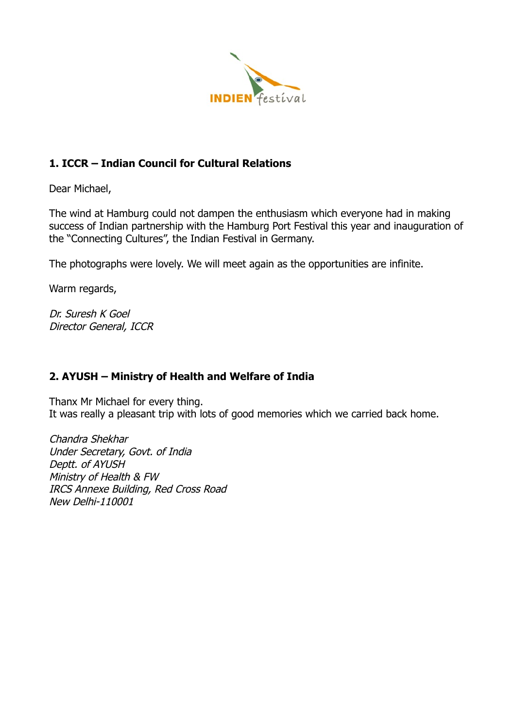

# **1. ICCR – Indian Council for Cultural Relations**

Dear Michael,

The wind at Hamburg could not dampen the enthusiasm which everyone had in making success of Indian partnership with the Hamburg Port Festival this year and inauguration of the "Connecting Cultures", the Indian Festival in Germany.

The photographs were lovely. We will meet again as the opportunities are infinite.

Warm regards,

Dr. Suresh K Goel Director General, ICCR

## **2. AYUSH – Ministry of Health and Welfare of India**

Thanx Mr Michael for every thing. It was really a pleasant trip with lots of good memories which we carried back home.

Chandra Shekhar Under Secretary, Govt. of India Deptt. of AYUSH Ministry of Health & FW IRCS Annexe Building, Red Cross Road New Delhi-110001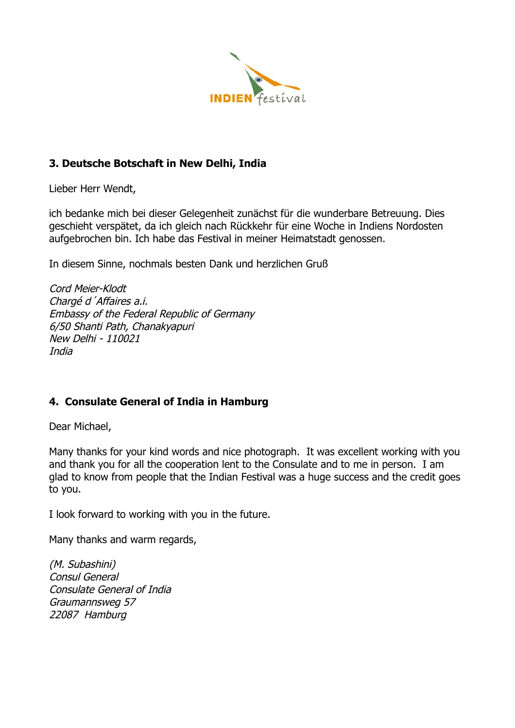

### **3. Deutsche Botschaft in New Delhi, India**

Lieber Herr Wendt,

ich bedanke mich bei dieser Gelegenheit zunächst für die wunderbare Betreuung. Dies geschieht verspätet, da ich gleich nach Rückkehr für eine Woche in Indiens Nordosten aufgebrochen bin. Ich habe das Festival in meiner Heimatstadt genossen.

In diesem Sinne, nochmals besten Dank und herzlichen Gruß

Cord Meier-Klodt Chargé d´Affaires a.i. Embassy of the Federal Republic of Germany 6/50 Shanti Path, Chanakyapuri New Delhi - 110021 India

## **4. Consulate General of India in Hamburg**

Dear Michael,

Many thanks for your kind words and nice photograph. It was excellent working with you and thank you for all the cooperation lent to the Consulate and to me in person. I am glad to know from people that the Indian Festival was a huge success and the credit goes to you.

I look forward to working with you in the future.

Many thanks and warm regards,

(M. Subashini) Consul General Consulate General of India Graumannsweg 57 22087 Hamburg